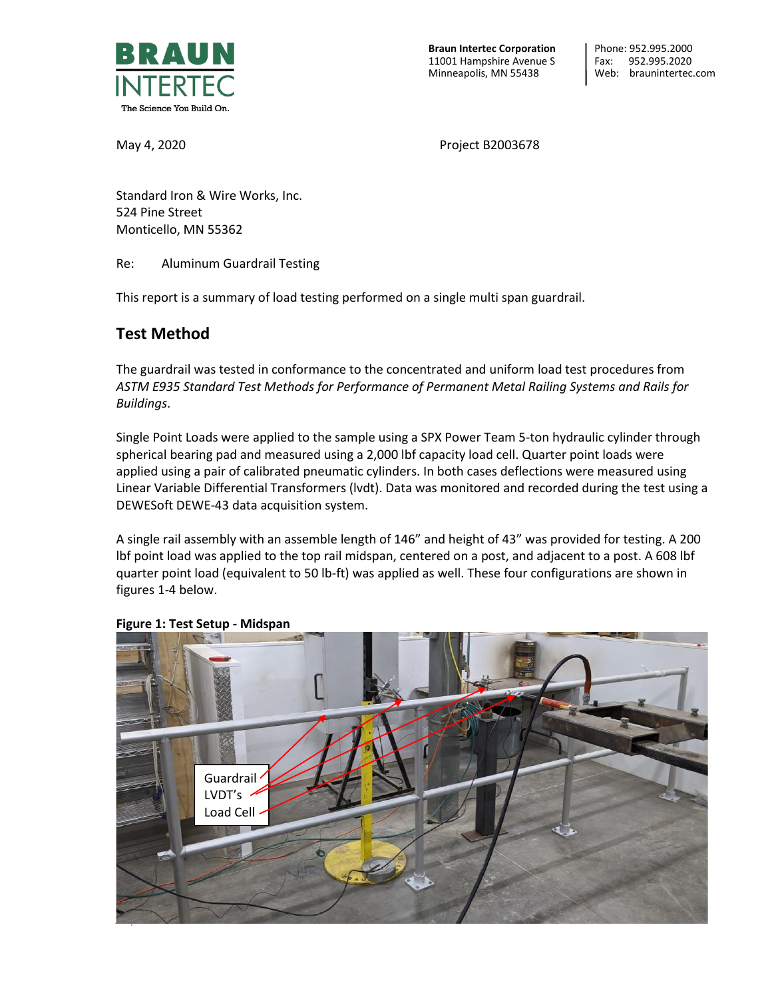

**Braun Intertec Corporation** 11001 Hampshire Avenue S Minneapolis, MN 55438

May 4, 2020 **Project B2003678** 

Standard Iron & Wire Works, Inc. 524 Pine Street Monticello, MN 55362

Re: Aluminum Guardrail Testing

This report is a summary of load testing performed on a single multi span guardrail.

## **Test Method**

The guardrail was tested in conformance to the concentrated and uniform load test procedures from *ASTM E935 Standard Test Methods for Performance of Permanent Metal Railing Systems and Rails for Buildings*.

Single Point Loads were applied to the sample using a SPX Power Team 5-ton hydraulic cylinder through spherical bearing pad and measured using a 2,000 lbf capacity load cell. Quarter point loads were applied using a pair of calibrated pneumatic cylinders. In both cases deflections were measured using Linear Variable Differential Transformers (lvdt). Data was monitored and recorded during the test using a DEWESoft DEWE-43 data acquisition system.

A single rail assembly with an assemble length of 146" and height of 43" was provided for testing. A 200 lbf point load was applied to the top rail midspan, centered on a post, and adjacent to a post. A 608 lbf quarter point load (equivalent to 50 lb-ft) was applied as well. These four configurations are shown in figures 1-4 below.



#### **Figure 1: Test Setup - Midspan**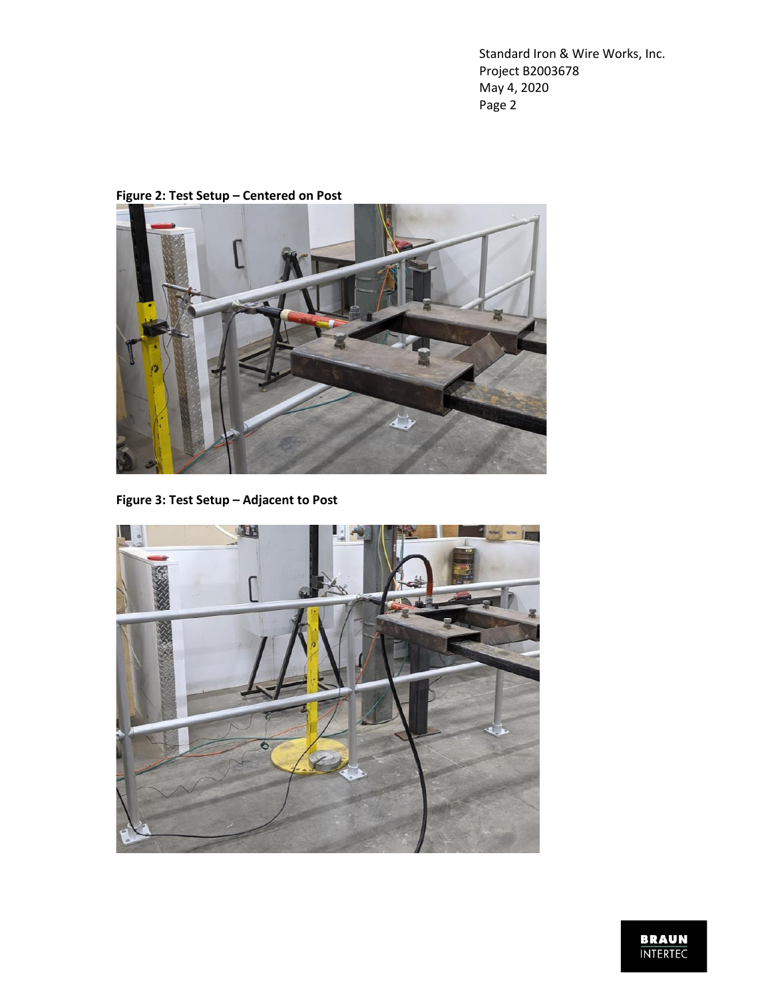

**Figure 2: Test Setup – Centered on Post**

**Figure 3: Test Setup – Adjacent to Post**



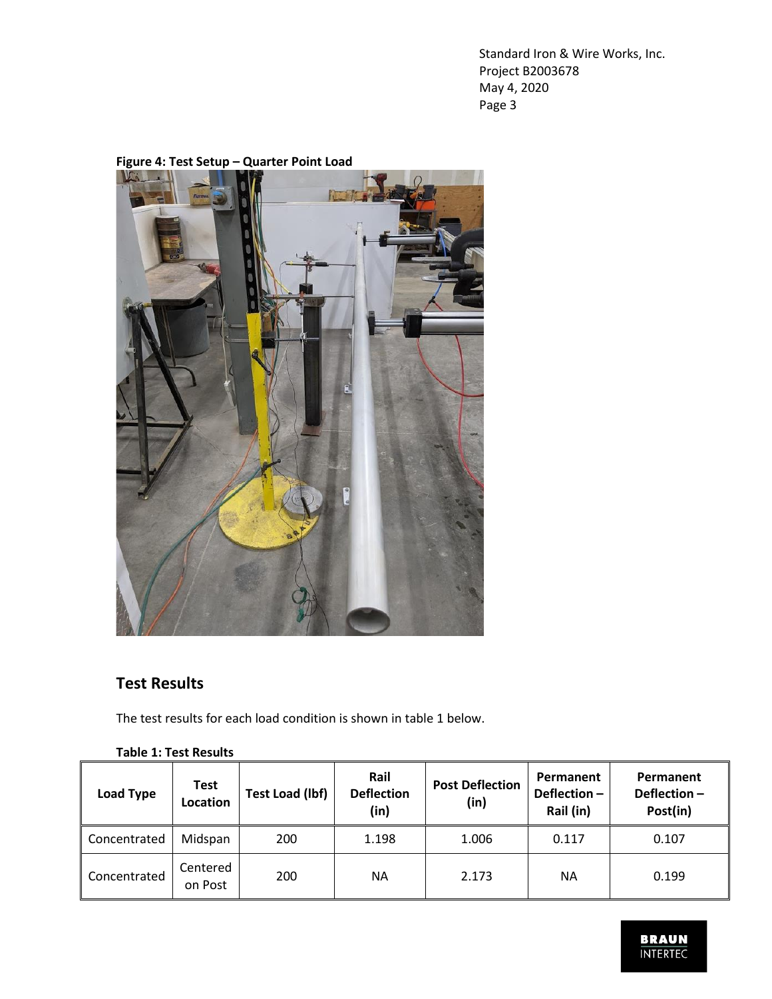

## **Figure 4: Test Setup – Quarter Point Load**

# **Test Results**

The test results for each load condition is shown in table 1 below.

### **Table 1: Test Results**

| Load Type    | <b>Test</b><br><b>Location</b> | Test Load (lbf) | Rail<br><b>Deflection</b><br>(in) | <b>Post Deflection</b><br>(in) | Permanent<br>Deflection $-$<br>Rail (in) | Permanent<br>Deflection-<br>Post(in) |
|--------------|--------------------------------|-----------------|-----------------------------------|--------------------------------|------------------------------------------|--------------------------------------|
| Concentrated | Midspan                        | 200             | 1.198                             | 1.006                          | 0.117                                    | 0.107                                |
| Concentrated | Centered<br>on Post            | 200             | NА                                | 2.173                          | NA                                       | 0.199                                |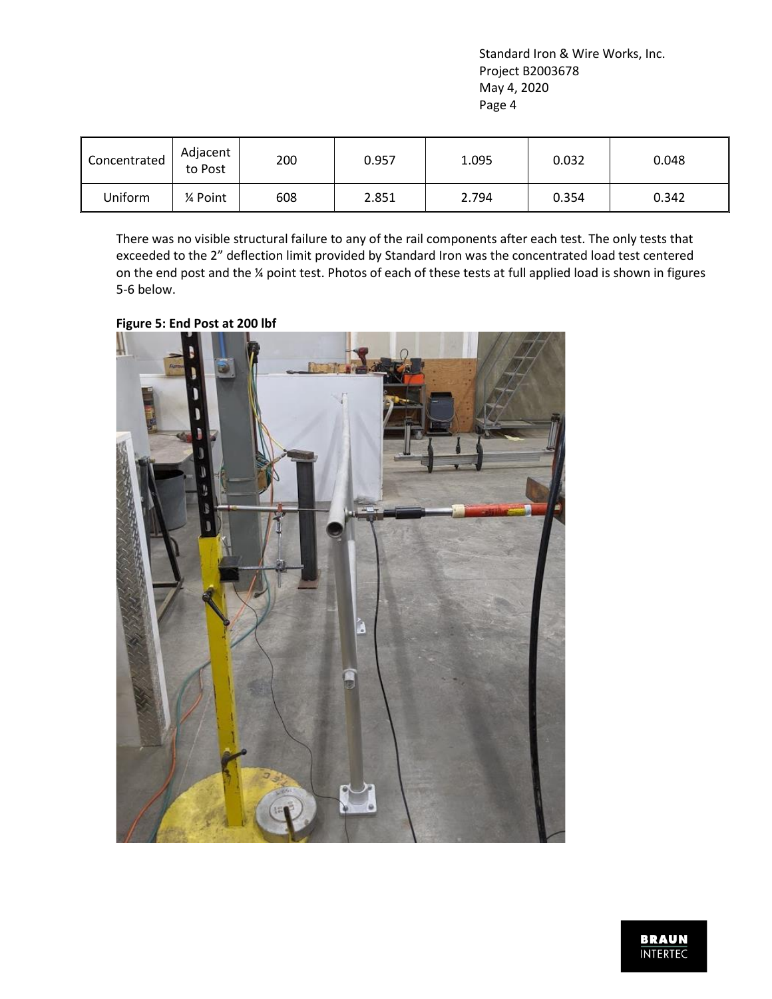| Concentrated | Adjacent<br>to Post | 200 | 0.957 | 1.095 | 0.032 | 0.048 |
|--------------|---------------------|-----|-------|-------|-------|-------|
| Uniform      | 1⁄4 Point           | 608 | 2.851 | 2.794 | 0.354 | 0.342 |

There was no visible structural failure to any of the rail components after each test. The only tests that exceeded to the 2" deflection limit provided by Standard Iron was the concentrated load test centered on the end post and the ¼ point test. Photos of each of these tests at full applied load is shown in figures 5-6 below.